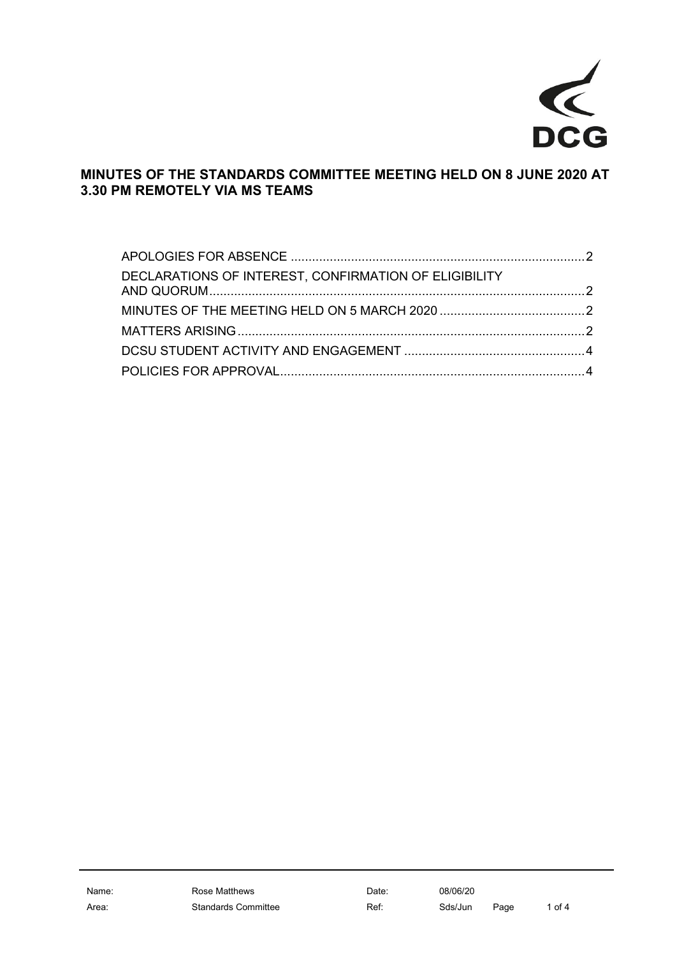

# **MINUTES OF THE STANDARDS COMMITTEE MEETING HELD ON 8 JUNE 2020 AT 3.30 PM REMOTELY VIA MS TEAMS**

| DECLARATIONS OF INTEREST, CONFIRMATION OF ELIGIBILITY |  |
|-------------------------------------------------------|--|
|                                                       |  |
|                                                       |  |
|                                                       |  |
|                                                       |  |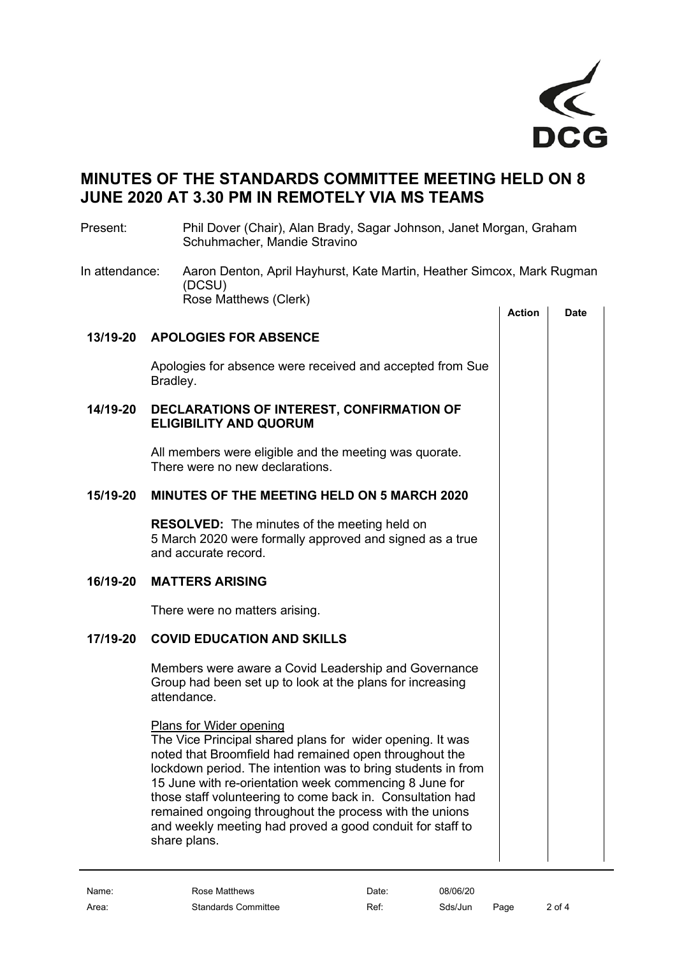

# **MINUTES OF THE STANDARDS COMMITTEE MEETING HELD ON 8 JUNE 2020 AT 3.30 PM IN REMOTELY VIA MS TEAMS**

<span id="page-1-3"></span><span id="page-1-2"></span><span id="page-1-1"></span><span id="page-1-0"></span>

| Present:       | Phil Dover (Chair), Alan Brady, Sagar Johnson, Janet Morgan, Graham<br>Schuhmacher, Mandie Stravino                                                                                                                                                                                                                                                                                                                                                                                   |               |             |
|----------------|---------------------------------------------------------------------------------------------------------------------------------------------------------------------------------------------------------------------------------------------------------------------------------------------------------------------------------------------------------------------------------------------------------------------------------------------------------------------------------------|---------------|-------------|
| In attendance: | Aaron Denton, April Hayhurst, Kate Martin, Heather Simcox, Mark Rugman<br>(DCSU)<br>Rose Matthews (Clerk)                                                                                                                                                                                                                                                                                                                                                                             | <b>Action</b> | <b>Date</b> |
| 13/19-20       | <b>APOLOGIES FOR ABSENCE</b>                                                                                                                                                                                                                                                                                                                                                                                                                                                          |               |             |
|                | Apologies for absence were received and accepted from Sue<br>Bradley.                                                                                                                                                                                                                                                                                                                                                                                                                 |               |             |
| 14/19-20       | DECLARATIONS OF INTEREST, CONFIRMATION OF<br><b>ELIGIBILITY AND QUORUM</b>                                                                                                                                                                                                                                                                                                                                                                                                            |               |             |
|                | All members were eligible and the meeting was quorate.<br>There were no new declarations.                                                                                                                                                                                                                                                                                                                                                                                             |               |             |
| 15/19-20       | <b>MINUTES OF THE MEETING HELD ON 5 MARCH 2020</b>                                                                                                                                                                                                                                                                                                                                                                                                                                    |               |             |
|                | <b>RESOLVED:</b> The minutes of the meeting held on<br>5 March 2020 were formally approved and signed as a true<br>and accurate record.                                                                                                                                                                                                                                                                                                                                               |               |             |
| 16/19-20       | <b>MATTERS ARISING</b>                                                                                                                                                                                                                                                                                                                                                                                                                                                                |               |             |
|                | There were no matters arising.                                                                                                                                                                                                                                                                                                                                                                                                                                                        |               |             |
| 17/19-20       | <b>COVID EDUCATION AND SKILLS</b>                                                                                                                                                                                                                                                                                                                                                                                                                                                     |               |             |
|                | Members were aware a Covid Leadership and Governance<br>Group had been set up to look at the plans for increasing<br>attendance.                                                                                                                                                                                                                                                                                                                                                      |               |             |
|                | <b>Plans for Wider opening</b><br>The Vice Principal shared plans for wider opening. It was<br>noted that Broomfield had remained open throughout the<br>lockdown period. The intention was to bring students in from<br>15 June with re-orientation week commencing 8 June for<br>those staff volunteering to come back in. Consultation had<br>remained ongoing throughout the process with the unions<br>and weekly meeting had proved a good conduit for staff to<br>share plans. |               |             |
|                |                                                                                                                                                                                                                                                                                                                                                                                                                                                                                       |               |             |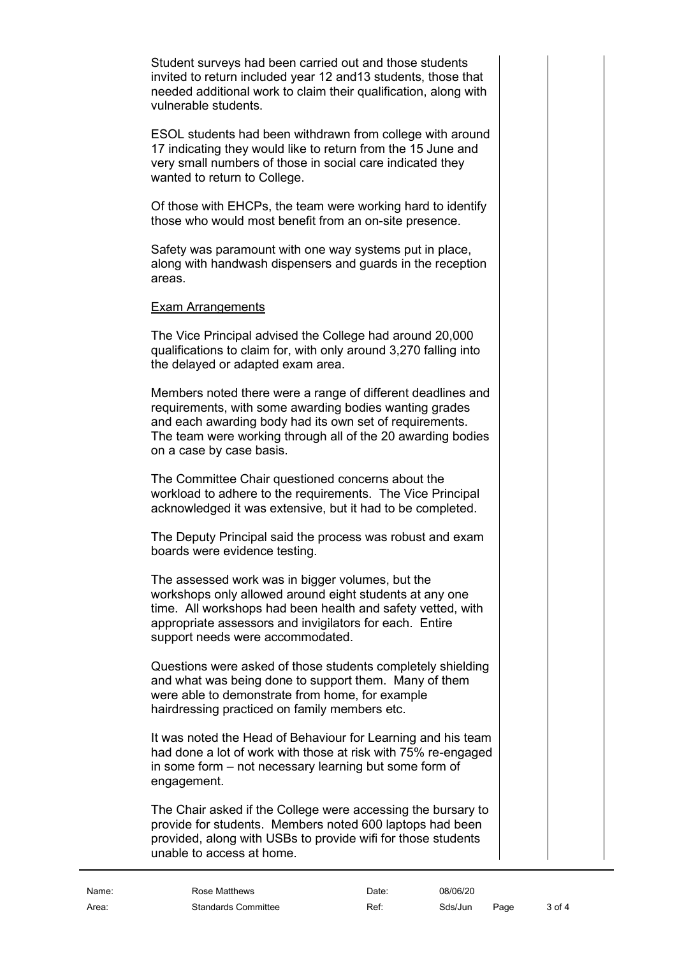Student surveys had been carried out and those students invited to return included year 12 and13 students, those that needed additional work to claim their qualification, along with vulnerable students.

ESOL students had been withdrawn from college with around 17 indicating they would like to return from the 15 June and very small numbers of those in social care indicated they wanted to return to College.

Of those with EHCPs, the team were working hard to identify those who would most benefit from an on-site presence.

Safety was paramount with one way systems put in place, along with handwash dispensers and guards in the reception areas.

## Exam Arrangements

The Vice Principal advised the College had around 20,000 qualifications to claim for, with only around 3,270 falling into the delayed or adapted exam area.

Members noted there were a range of different deadlines and requirements, with some awarding bodies wanting grades and each awarding body had its own set of requirements. The team were working through all of the 20 awarding bodies on a case by case basis.

The Committee Chair questioned concerns about the workload to adhere to the requirements. The Vice Principal acknowledged it was extensive, but it had to be completed.

The Deputy Principal said the process was robust and exam boards were evidence testing.

The assessed work was in bigger volumes, but the workshops only allowed around eight students at any one time. All workshops had been health and safety vetted, with appropriate assessors and invigilators for each. Entire support needs were accommodated.

Questions were asked of those students completely shielding and what was being done to support them. Many of them were able to demonstrate from home, for example hairdressing practiced on family members etc.

It was noted the Head of Behaviour for Learning and his team had done a lot of work with those at risk with 75% re-engaged in some form – not necessary learning but some form of engagement.

The Chair asked if the College were accessing the bursary to provide for students. Members noted 600 laptops had been provided, along with USBs to provide wifi for those students unable to access at home.